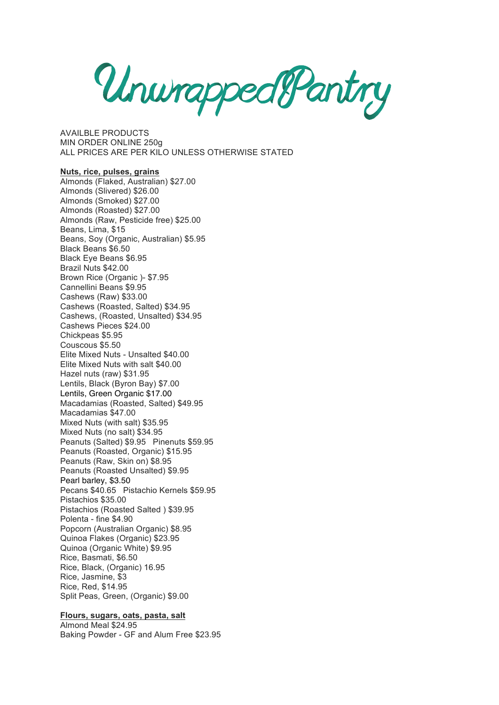UnumappealPantry

AVAILBLE PRODUCTS MIN ORDER ONLINE 250g ALL PRICES ARE PER KILO UNLESS OTHERWISE STATED

# **Nuts, rice, pulses, grains**

Almonds (Flaked, Australian) \$27.00 Almonds (Slivered) \$26.00 Almonds (Smoked) \$27.00 Almonds (Roasted) \$27.00 Almonds (Raw, Pesticide free) \$25.00 Beans, Lima, \$15 Beans, Soy (Organic, Australian) \$5.95 Black Beans \$6.50 Black Eye Beans \$6.95 Brazil Nuts \$42.00 Brown Rice (Organic )- \$7.95 Cannellini Beans \$9.95 Cashews (Raw) \$33.00 Cashews (Roasted, Salted) \$34.95 Cashews, (Roasted, Unsalted) \$34.95 Cashews Pieces \$24.00 Chickpeas \$5.95 Couscous \$5.50 Elite Mixed Nuts - Unsalted \$40.00 Elite Mixed Nuts with salt \$40.00 Hazel nuts (raw) \$31.95 Lentils, Black (Byron Bay) \$7.00 Lentils, Green Organic \$17.00 Macadamias (Roasted, Salted) \$49.95 Macadamias \$47.00 Mixed Nuts (with salt) \$35.95 Mixed Nuts (no salt) \$34.95 Peanuts (Salted) \$9.95 Pinenuts \$59.95 Peanuts (Roasted, Organic) \$15.95 Peanuts (Raw, Skin on) \$8.95 Peanuts (Roasted Unsalted) \$9.95 Pearl barley, \$3.50 Pecans \$40.65 Pistachio Kernels \$59.95 Pistachios \$35.00 Pistachios (Roasted Salted ) \$39.95 Polenta - fine \$4.90 Popcorn (Australian Organic) \$8.95 Quinoa Flakes (Organic) \$23.95 Quinoa (Organic White) \$9.95 Rice, Basmati, \$6.50 Rice, Black, (Organic) 16.95 Rice, Jasmine, \$3 Rice, Red, \$14.95 Split Peas, Green, (Organic) \$9.00

#### **Flours, sugars, oats, pasta, salt**

Almond Meal \$24.95 Baking Powder - GF and Alum Free \$23.95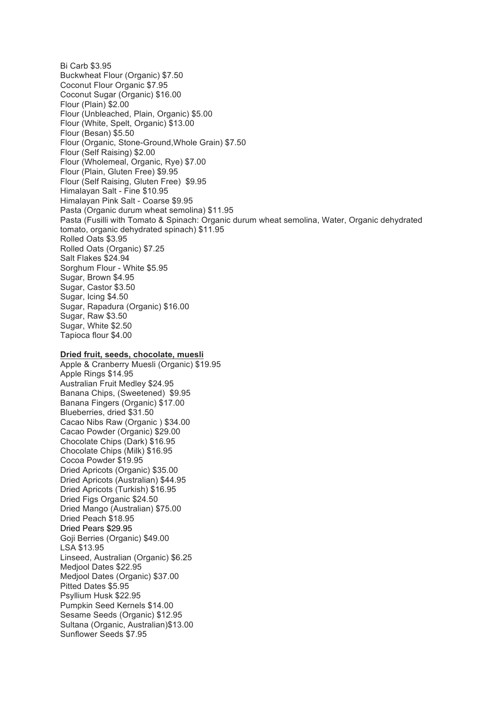Bi Carb \$3.95 Buckwheat Flour (Organic) \$7.50 Coconut Flour Organic \$7.95 Coconut Sugar (Organic) \$16.00 Flour (Plain) \$2.00 Flour (Unbleached, Plain, Organic) \$5.00 Flour (White, Spelt, Organic) \$13.00 Flour (Besan) \$5.50 Flour (Organic, Stone-Ground,Whole Grain) \$7.50 Flour (Self Raising) \$2.00 Flour (Wholemeal, Organic, Rye) \$7.00 Flour (Plain, Gluten Free) \$9.95 Flour (Self Raising, Gluten Free) \$9.95 Himalayan Salt - Fine \$10.95 Himalayan Pink Salt - Coarse \$9.95 Pasta (Organic durum wheat semolina) \$11.95 Pasta (Fusilli with Tomato & Spinach: Organic durum wheat semolina, Water, Organic dehydrated tomato, organic dehydrated spinach) \$11.95 Rolled Oats \$3.95 Rolled Oats (Organic) \$7.25 Salt Flakes \$24.94 Sorghum Flour - White \$5.95 Sugar, Brown \$4.95 Sugar, Castor \$3.50 Sugar, Icing \$4.50 Sugar, Rapadura (Organic) \$16.00 Sugar, Raw \$3.50 Sugar, White \$2.50 Tapioca flour \$4.00

# **Dried fruit, seeds, chocolate, muesli**

Apple & Cranberry Muesli (Organic) \$19.95 Apple Rings \$14.95 Australian Fruit Medley \$24.95 Banana Chips, (Sweetened) \$9.95 Banana Fingers (Organic) \$17.00 Blueberries, dried \$31.50 Cacao Nibs Raw (Organic ) \$34.00 Cacao Powder (Organic) \$29.00 Chocolate Chips (Dark) \$16.95 Chocolate Chips (Milk) \$16.95 Cocoa Powder \$19.95 Dried Apricots (Organic) \$35.00 Dried Apricots (Australian) \$44.95 Dried Apricots (Turkish) \$16.95 Dried Figs Organic \$24.50 Dried Mango (Australian) \$75.00 Dried Peach \$18.95 Dried Pears \$29.95 Goji Berries (Organic) \$49.00 LSA \$13.95 Linseed, Australian (Organic) \$6.25 Medjool Dates \$22.95 Medjool Dates (Organic) \$37.00 Pitted Dates \$5.95 Psyllium Husk \$22.95 Pumpkin Seed Kernels \$14.00 Sesame Seeds (Organic) \$12.95 Sultana (Organic, Australian)\$13.00 Sunflower Seeds \$7.95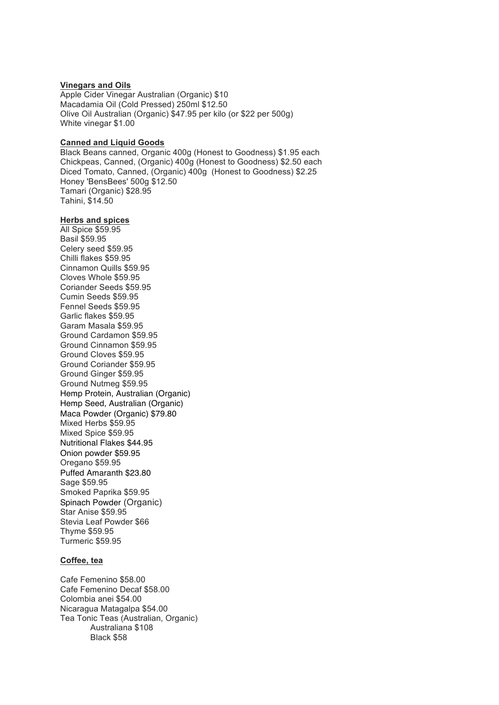# **Vinegars and Oils**

Apple Cider Vinegar Australian (Organic) \$10 Macadamia Oil (Cold Pressed) 250ml \$12.50 Olive Oil Australian (Organic) \$47.95 per kilo (or \$22 per 500g) White vinegar \$1.00

# **Canned and Liquid Goods**

Black Beans canned, Organic 400g (Honest to Goodness) \$1.95 each Chickpeas, Canned, (Organic) 400g (Honest to Goodness) \$2.50 each Diced Tomato, Canned, (Organic) 400g (Honest to Goodness) \$2.25 Honey 'BensBees' 500g \$12.50 Tamari (Organic) \$28.95 Tahini, \$14.50

#### **Herbs and spices**

All Spice \$59.95 Basil \$59.95 Celery seed \$59.95 Chilli flakes \$59.95 Cinnamon Quills \$59.95 Cloves Whole \$59.95 Coriander Seeds \$59.95 Cumin Seeds \$59.95 Fennel Seeds \$59.95 Garlic flakes \$59.95 Garam Masala \$59.95 Ground Cardamon \$59.95 Ground Cinnamon \$59.95 Ground Cloves \$59.95 Ground Coriander \$59.95 Ground Ginger \$59.95 Ground Nutmeg \$59.95 Hemp Protein, Australian (Organic) Hemp Seed, Australian (Organic) Maca Powder (Organic) \$79.80 Mixed Herbs \$59.95 Mixed Spice \$59.95 Nutritional Flakes \$44.95 Onion powder \$59.95 Oregano \$59.95 Puffed Amaranth \$23.80 Sage \$59.95 Smoked Paprika \$59.95 Spinach Powder (Organic) Star Anise \$59.95 Stevia Leaf Powder \$66 Thyme \$59.95 Turmeric \$59.95

#### **Coffee, tea**

Cafe Femenino \$58.00 Cafe Femenino Decaf \$58.00 Colombia anei \$54.00 Nicaragua Matagalpa \$54.00 Tea Tonic Teas (Australian, Organic) Australiana \$108 Black \$58